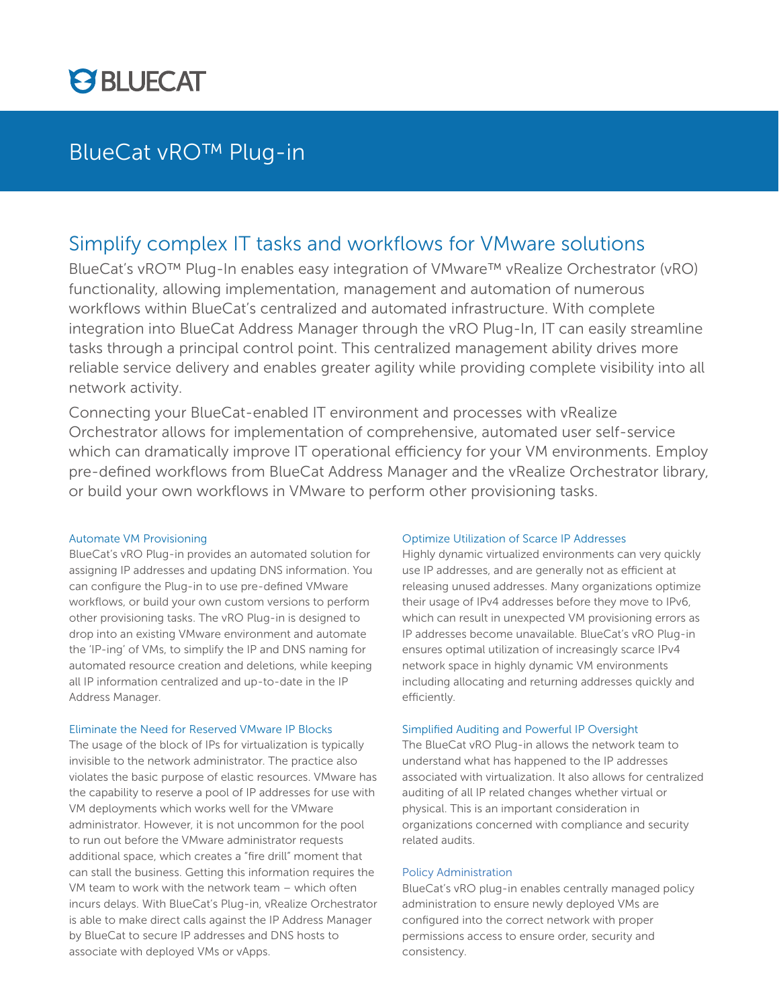

## BlueCat vRO™ Plug-in

## Simplify complex IT tasks and workflows for VMware solutions

BlueCat's vRO™ Plug-In enables easy integration of VMware™ vRealize Orchestrator (vRO) functionality, allowing implementation, management and automation of numerous workflows within BlueCat's centralized and automated infrastructure. With complete integration into BlueCat Address Manager through the vRO Plug-In, IT can easily streamline tasks through a principal control point. This centralized management ability drives more reliable service delivery and enables greater agility while providing complete visibility into all network activity.

Connecting your BlueCat-enabled IT environment and processes with vRealize Orchestrator allows for implementation of comprehensive, automated user self-service which can dramatically improve IT operational efficiency for your VM environments. Employ pre-defined workflows from BlueCat Address Manager and the vRealize Orchestrator library, or build your own workflows in VMware to perform other provisioning tasks.

## Automate VM Provisioning

BlueCat's vRO Plug-in provides an automated solution for assigning IP addresses and updating DNS information. You can configure the Plug-in to use pre-defined VMware workflows, or build your own custom versions to perform other provisioning tasks. The vRO Plug-in is designed to drop into an existing VMware environment and automate the 'IP-ing' of VMs, to simplify the IP and DNS naming for automated resource creation and deletions, while keeping all IP information centralized and up-to-date in the IP Address Manager.

#### Eliminate the Need for Reserved VMware IP Blocks

The usage of the block of IPs for virtualization is typically invisible to the network administrator. The practice also violates the basic purpose of elastic resources. VMware has the capability to reserve a pool of IP addresses for use with VM deployments which works well for the VMware administrator. However, it is not uncommon for the pool to run out before the VMware administrator requests additional space, which creates a "fire drill" moment that can stall the business. Getting this information requires the VM team to work with the network team – which often incurs delays. With BlueCat's Plug-in, vRealize Orchestrator is able to make direct calls against the IP Address Manager by BlueCat to secure IP addresses and DNS hosts to associate with deployed VMs or vApps.

## Optimize Utilization of Scarce IP Addresses

Highly dynamic virtualized environments can very quickly use IP addresses, and are generally not as efficient at releasing unused addresses. Many organizations optimize their usage of IPv4 addresses before they move to IPv6, which can result in unexpected VM provisioning errors as IP addresses become unavailable. BlueCat's vRO Plug-in ensures optimal utilization of increasingly scarce IPv4 network space in highly dynamic VM environments including allocating and returning addresses quickly and efficiently.

#### Simplified Auditing and Powerful IP Oversight

The BlueCat vRO Plug-in allows the network team to understand what has happened to the IP addresses associated with virtualization. It also allows for centralized auditing of all IP related changes whether virtual or physical. This is an important consideration in organizations concerned with compliance and security related audits.

## Policy Administration

BlueCat's vRO plug-in enables centrally managed policy administration to ensure newly deployed VMs are configured into the correct network with proper permissions access to ensure order, security and consistency.